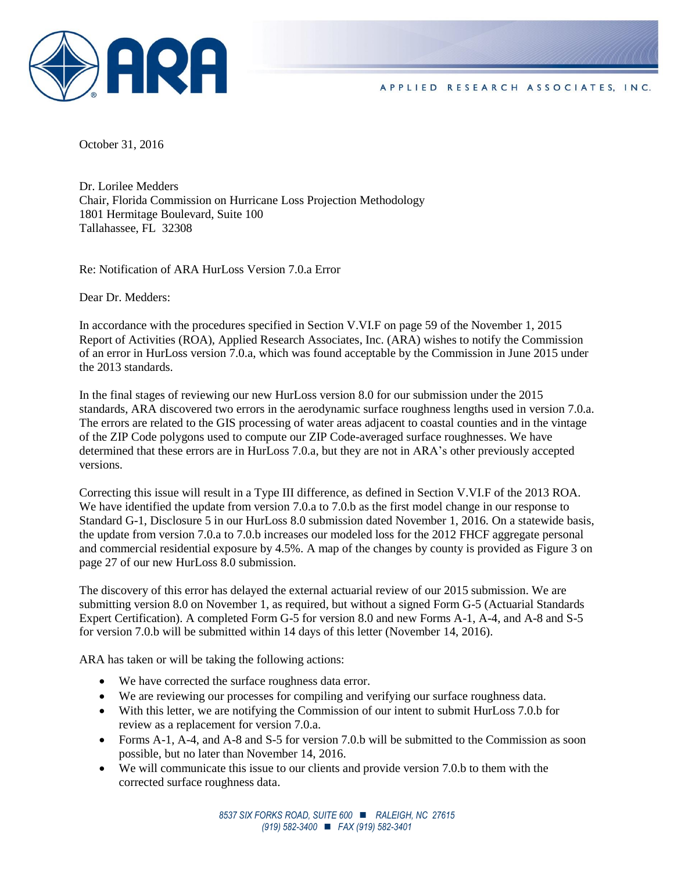

October 31, 2016

Dr. Lorilee Medders Chair, Florida Commission on Hurricane Loss Projection Methodology 1801 Hermitage Boulevard, Suite 100 Tallahassee, FL 32308

Re: Notification of ARA HurLoss Version 7.0.a Error

Dear Dr. Medders:

In accordance with the procedures specified in Section V.VI.F on page 59 of the November 1, 2015 Report of Activities (ROA), Applied Research Associates, Inc. (ARA) wishes to notify the Commission of an error in HurLoss version 7.0.a, which was found acceptable by the Commission in June 2015 under the 2013 standards.

In the final stages of reviewing our new HurLoss version 8.0 for our submission under the 2015 standards, ARA discovered two errors in the aerodynamic surface roughness lengths used in version 7.0.a. The errors are related to the GIS processing of water areas adjacent to coastal counties and in the vintage of the ZIP Code polygons used to compute our ZIP Code-averaged surface roughnesses. We have determined that these errors are in HurLoss 7.0.a, but they are not in ARA's other previously accepted versions.

Correcting this issue will result in a Type III difference, as defined in Section V.VI.F of the 2013 ROA. We have identified the update from version 7.0.a to 7.0.b as the first model change in our response to Standard G-1, Disclosure 5 in our HurLoss 8.0 submission dated November 1, 2016. On a statewide basis, the update from version 7.0.a to 7.0.b increases our modeled loss for the 2012 FHCF aggregate personal and commercial residential exposure by 4.5%. A map of the changes by county is provided as Figure 3 on page 27 of our new HurLoss 8.0 submission.

The discovery of this error has delayed the external actuarial review of our 2015 submission. We are submitting version 8.0 on November 1, as required, but without a signed Form G-5 (Actuarial Standards Expert Certification). A completed Form G-5 for version 8.0 and new Forms A-1, A-4, and A-8 and S-5 for version 7.0.b will be submitted within 14 days of this letter (November 14, 2016).

ARA has taken or will be taking the following actions:

- We have corrected the surface roughness data error.
- We are reviewing our processes for compiling and verifying our surface roughness data.
- With this letter, we are notifying the Commission of our intent to submit HurLoss 7.0.b for review as a replacement for version 7.0.a.
- Forms A-1, A-4, and A-8 and S-5 for version 7.0.b will be submitted to the Commission as soon possible, but no later than November 14, 2016.
- We will communicate this issue to our clients and provide version 7.0.b to them with the corrected surface roughness data.